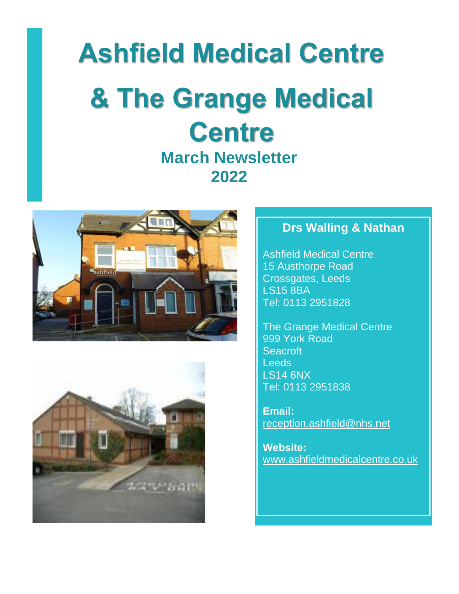# **Ashfield Medical Centre & The Grange Medical Centre March Newsletter**

**2022**





## **Drs Walling & Nathan**

[Ashfield Medical Centre](http://maps.google.com/?saddr=Current%20Location&daddr=%20Ashfield%20Medical%20Centre15%20Austhorpe%20RoadCrossgates,%20LeedsLS15%208BA)  [15 Austhorpe Road](http://maps.google.com/?saddr=Current%20Location&daddr=%20Ashfield%20Medical%20Centre15%20Austhorpe%20RoadCrossgates,%20LeedsLS15%208BA)  [Crossgates, Leeds](http://maps.google.com/?saddr=Current%20Location&daddr=%20Ashfield%20Medical%20Centre15%20Austhorpe%20RoadCrossgates,%20LeedsLS15%208BA)  [LS15 8BA](http://maps.google.com/?saddr=Current%20Location&daddr=%20Ashfield%20Medical%20Centre15%20Austhorpe%20RoadCrossgates,%20LeedsLS15%208BA) Tel: 0113 2951828

[The Grange Medical Centre](http://maps.google.com/?saddr=Current%20Location&daddr=%20The%20Grange%20Medical%20Centre999%20York%20RoadSeacroftLeedsLS14%206NX)  [999 York Road](http://maps.google.com/?saddr=Current%20Location&daddr=%20The%20Grange%20Medical%20Centre999%20York%20RoadSeacroftLeedsLS14%206NX)  [Seacroft](http://maps.google.com/?saddr=Current%20Location&daddr=%20The%20Grange%20Medical%20Centre999%20York%20RoadSeacroftLeedsLS14%206NX)  **Leeds** [LS14 6NX](http://maps.google.com/?saddr=Current%20Location&daddr=%20The%20Grange%20Medical%20Centre999%20York%20RoadSeacroftLeedsLS14%206NX) Tel: 0113 2951838

**Email:**  [reception.ashfield@nhs.net](mailto:reception.ashfield@nhs.net)

**Website:**  [www.ashfieldmedicalcentre.co.uk](http://www.ashfieldmedicalcentre.co.uk/)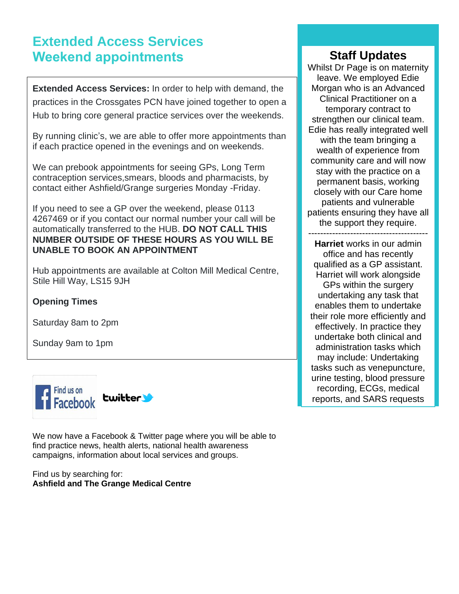# **Extended Access Services Weekend appointments**

**Extended Access Services:** In order to help with demand, the practices in the Crossgates PCN have joined together to open a Hub to bring core general practice services over the weekends.

By running clinic's, we are able to offer more appointments than if each practice opened in the evenings and on weekends.

We can prebook appointments for seeing GPs, Long Term contraception services,smears, bloods and pharmacists, by contact either Ashfield/Grange surgeries Monday -Friday.

If you need to see a GP over the weekend, please 0113 4267469 or if you contact our normal number your call will be automatically transferred to the HUB. **DO NOT CALL THIS NUMBER OUTSIDE OF THESE HOURS AS YOU WILL BE UNABLE TO BOOK AN APPOINTMENT**

Hub appointments are available at Colton Mill Medical Centre, Stile Hill Way, LS15 9JH

#### **Opening Times**

Saturday 8am to 2pm

Sunday 9am to 1pm



We now have a Facebook & Twitter page where you will be able to find practice news, health alerts, national health awareness campaigns, information about local services and groups.

Find us by searching for: **Ashfield and The Grange Medical Centre**

### **Staff Updates**

Whilst Dr Page is on maternity leave. We employed Edie Morgan who is an Advanced Clinical Practitioner on a temporary contract to strengthen our clinical team. Edie has really integrated well with the team bringing a wealth of experience from community care and will now stay with the practice on a permanent basis, working closely with our Care home patients and vulnerable patients ensuring they have all the support they require.

---------------------------------------- **Harriet** works in our admin office and has recently qualified as a GP assistant. Harriet will work alongside GPs within the surgery undertaking any task that enables them to undertake their role more efficiently and effectively. In practice they undertake both clinical and administration tasks which may include: Undertaking tasks such as venepuncture, urine testing, blood pressure recording, ECGs, medical reports, and SARS requests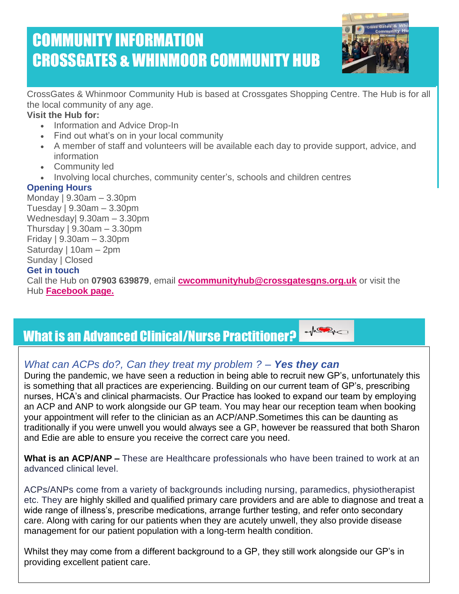# COMMUNITY INFORMATION CROSSGATES & WHINMOOR COMMUNITY HUB



CrossGates & Whinmoor Community Hub is based at Crossgates Shopping Centre. The Hub is for all the local community of any age.

#### **Visit the Hub for:**

- Information and Advice Drop-In
- Find out what's on in your local community
- A member of staff and volunteers will be available each day to provide support, advice, and information
- Community led
- Involving local churches, community center's, schools and children centres

#### **Opening Hours**

 **Get in touch** Monday | 9.30am – 3.30pm Tuesday | 9.30am – 3.30pm Wednesday| 9.30am – 3.30pm Thursday | 9.30am – 3.30pm Friday | 9.30am – 3.30pm Saturday | 10am – 2pm Sunday | Closed Call the Hub on **07903 639879**, email **[cwcommunityhub@crossgatesgns.org.uk](mailto:cwcommunityhub@crossgatesgns.org.uk)** or visit the Hub **[Facebook page.](https://www.facebook.com/cwcommunityhub)**

#### $M^2$ What is an Advanced Clinical/Nurse Practitioner?

### *What can ACPs do?, Can they treat my problem ? – Yes they can*

During the pandemic, we have seen a reduction in being able to recruit new GP's, unfortunately this is something that all practices are experiencing. Building on our current team of GP's, prescribing nurses, HCA's and clinical pharmacists. Our Practice has looked to expand our team by employing an ACP and ANP to work alongside our GP team. You may hear our reception team when booking your appointment will refer to the clinician as an ACP/ANP.Sometimes this can be daunting as traditionally if you were unwell you would always see a GP, however be reassured that both Sharon and Edie are able to ensure you receive the correct care you need.

**What is an ACP/ANP –** These are Healthcare professionals who have been trained to work at an advanced clinical level.

ACPs/ANPs come from a variety of backgrounds including nursing, paramedics, physiotherapist etc. They are highly skilled and qualified primary care providers and are able to diagnose and treat a wide range of illness's, prescribe medications, arrange further testing, and refer onto secondary care. Along with caring for our patients when they are acutely unwell, they also provide disease management for our patient population with a long-term health condition.

Whilst they may come from a different background to a GP, they still work alongside our GP's in providing excellent patient care.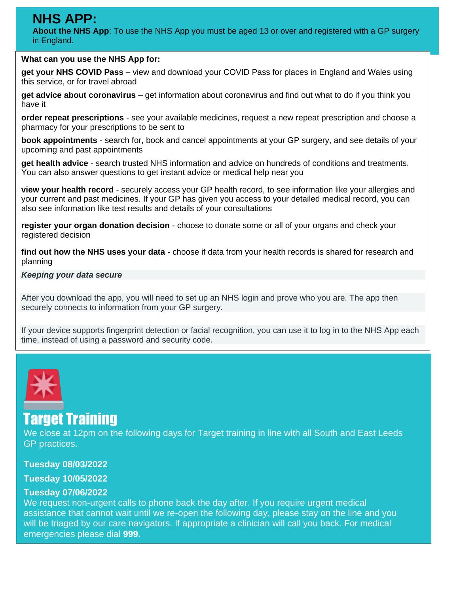# **NHS APP:**

 **About the NHS App**: To use the NHS App you must be aged 13 or over and registered with a GP surgery in England.

#### **What can you use the NHS App for:**

• **get your NHS COVID Pass** – view and download your COVID Pass for places in England and Wales using this service, or for travel abroad

• **get advice about coronavirus** – get information about coronavirus and find out what to do if you think you have it

• **order repeat prescriptions** - see your available medicines, request a new repeat prescription and choose a pharmacy for your prescriptions to be sent to

• **book appointments** - search for, book and cancel appointments at your GP surgery, and see details of your upcoming and past appointments

• **get health advice** - search trusted NHS information and advice on hundreds of conditions and treatments. You can also answer questions to get instant advice or medical help near you

• **view your health record** - securely access your GP health record, to see information like your allergies and your current and past medicines. If your GP has given you access to your detailed medical record, you can also see information like test results and details of your consultations

• **register your organ donation decision** - choose to donate some or all of your organs and check your registered decision

• **find out how the NHS uses your data** - choose if data from your health records is shared for research and planning

#### *Keeping your data secure*

After you download the app, you will need to set up an NHS login and prove who you are. The app then securely connects to information from your GP surgery.

If your device supports fingerprint detection or facial recognition, you can use it to log in to the NHS App each time, instead of using a password and security code.



# Target Training

We close at 12pm on the following days for Target training in line with all South and East Leeds GP practices.

#### **Tuesday 08/03/2022**

#### **Tuesday 10/05/2022**

#### **Tuesday 07/06/2022**

We request non-urgent calls to phone back the day after. If you require urgent medical assistance that cannot wait until we re-open the following day, please stay on the line and you will be triaged by our care navigators. If appropriate a clinician will call you back. For medical emergencies please dial **999.**